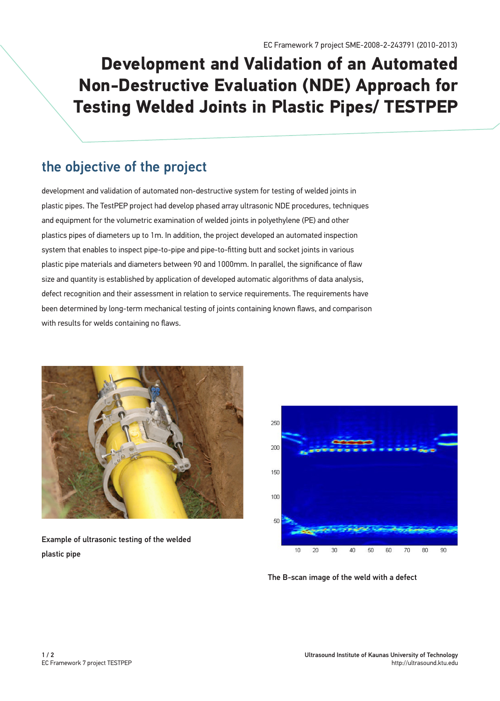# **Development and Validation of an Automated Non-Destructive Evaluation (NDE) Approach for Testing Welded Joints in Plastic Pipes/ TESTPEP**

### the objective of the project

development and validation of automated non-destructive system for testing of welded joints in plastic pipes. The TestPEP project had develop phased array ultrasonic NDE procedures, techniques and equipment for the volumetric examination of welded joints in polyethylene (PE) and other plastics pipes of diameters up to 1m. In addition, the project developed an automated inspection system that enables to inspect pipe-to-pipe and pipe-to-fitting butt and socket joints in various plastic pipe materials and diameters between 90 and 1000mm. In parallel, the significance of flaw size and quantity is established by application of developed automatic algorithms of data analysis, defect recognition and their assessment in relation to service requirements. The requirements have been determined by long-term mechanical testing of joints containing known flaws, and comparison with results for welds containing no flaws.



Example of ultrasonic testing of the welded plastic pipe



The B-scan image of the weld with a defect